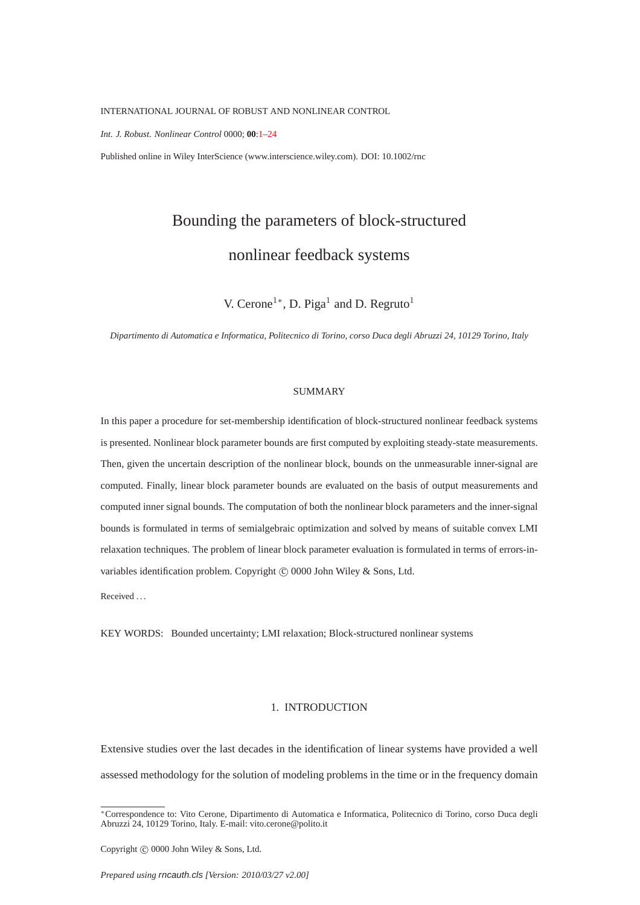<span id="page-0-0"></span>INTERNATIONAL JOURNAL OF ROBUST AND NONLINEAR CONTROL

*Int. J. Robust. Nonlinear Control* 0000; **00**[:1–](#page-0-0)[24](#page-21-0)

Published online in Wiley InterScience (www.interscience.wiley.com). DOI: 10.1002/rnc

# Bounding the parameters of block-structured nonlinear feedback systems

V. Cerone<sup>1\*</sup>, D. Piga<sup>1</sup> and D. Regruto<sup>1</sup>

*Dipartimento di Automatica e Informatica, Politecnico di Torino, corso Duca degli Abruzzi 24, 10129 Torino, Italy*

#### SUMMARY

In this paper a procedure for set-membership identification of block-structured nonlinear feedback systems is presented. Nonlinear block parameter bounds are first computed by exploiting steady-state measurements. Then, given the uncertain description of the nonlinear block, bounds on the unmeasurable inner-signal are computed. Finally, linear block parameter bounds are evaluated on the basis of output measurements and computed inner signal bounds. The computation of both the nonlinear block parameters and the inner-signal bounds is formulated in terms of semialgebraic optimization and solved by means of suitable convex LMI relaxation techniques. The problem of linear block parameter evaluation is formulated in terms of errors-invariables identification problem. Copyright (C) 0000 John Wiley & Sons, Ltd.

Received . . .

KEY WORDS: Bounded uncertainty; LMI relaxation; Block-structured nonlinear systems

#### 1. INTRODUCTION

Extensive studies over the last decades in the identification of linear systems have provided a well assessed methodology for the solution of modeling problems in the time or in the frequency domain

Copyright  $\odot$  0000 John Wiley & Sons, Ltd.

<sup>∗</sup>Correspondence to: Vito Cerone, Dipartimento di Automatica e Informatica, Politecnico di Torino, corso Duca degli Abruzzi 24, 10129 Torino, Italy. E-mail: vito.cerone@polito.it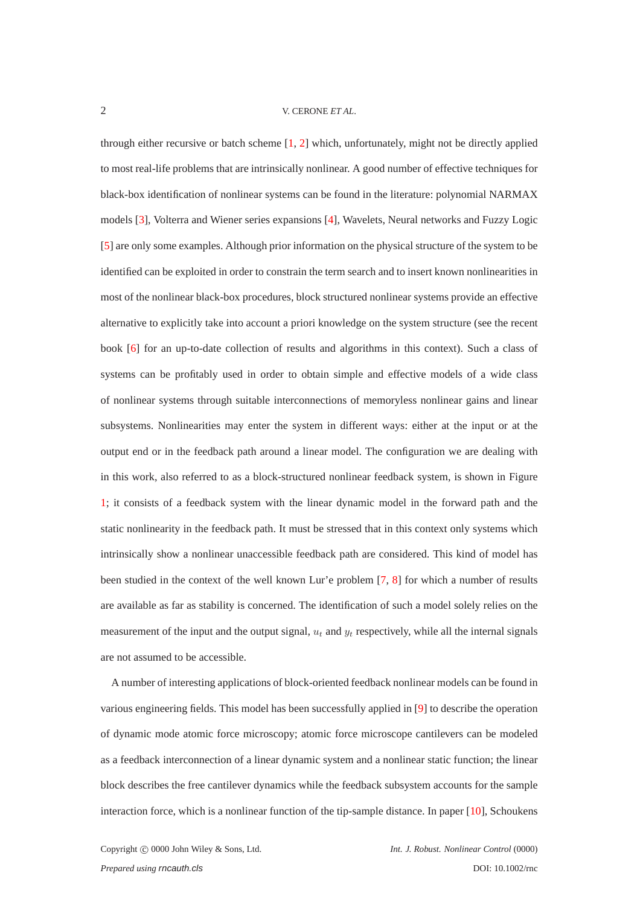through either recursive or batch scheme [\[1,](#page-22-0) [2\]](#page-22-1) which, unfortunately, might not be directly applied to most real-life problems that are intrinsically nonlinear. A good number of effective techniques for black-box identification of nonlinear systems can be found in the literature: polynomial NARMAX models [\[3\]](#page-22-2), Volterra and Wiener series expansions [\[4\]](#page-22-3), Wavelets, Neural networks and Fuzzy Logic [\[5\]](#page-22-4) are only some examples. Although prior information on the physical structure of the system to be identified can be exploited in order to constrain the term search and to insert known nonlinearities in most of the nonlinear black-box procedures, block structured nonlinear systems provide an effective alternative to explicitly take into account a priori knowledge on the system structure (see the recent book [\[6\]](#page-22-5) for an up-to-date collection of results and algorithms in this context). Such a class of systems can be profitably used in order to obtain simple and effective models of a wide class of nonlinear systems through suitable interconnections of memoryless nonlinear gains and linear subsystems. Nonlinearities may enter the system in different ways: either at the input or at the output end or in the feedback path around a linear model. The configuration we are dealing with in this work, also referred to as a block-structured nonlinear feedback system, is shown in Figure [1;](#page-2-0) it consists of a feedback system with the linear dynamic model in the forward path and the static nonlinearity in the feedback path. It must be stressed that in this context only systems which intrinsically show a nonlinear unaccessible feedback path are considered. This kind of model has been studied in the context of the well known Lur'e problem [\[7,](#page-22-6) [8\]](#page-22-7) for which a number of results are available as far as stability is concerned. The identification of such a model solely relies on the measurement of the input and the output signal,  $u_t$  and  $y_t$  respectively, while all the internal signals are not assumed to be accessible.

A number of interesting applications of block-oriented feedback nonlinear models can be found in various engineering fields. This model has been successfully applied in [\[9\]](#page-22-8) to describe the operation of dynamic mode atomic force microscopy; atomic force microscope cantilevers can be modeled as a feedback interconnection of a linear dynamic system and a nonlinear static function; the linear block describes the free cantilever dynamics while the feedback subsystem accounts for the sample interaction force, which is a nonlinear function of the tip-sample distance. In paper [\[10\]](#page-22-9), Schoukens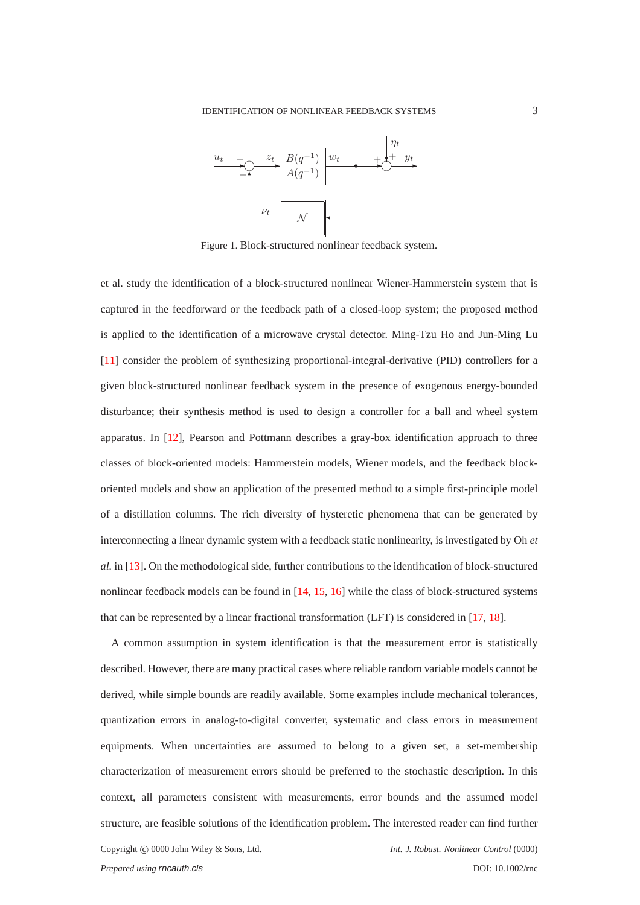<span id="page-2-0"></span>

Figure 1. Block-structured nonlinear feedback system.

et al. study the identification of a block-structured nonlinear Wiener-Hammerstein system that is captured in the feedforward or the feedback path of a closed-loop system; the proposed method is applied to the identification of a microwave crystal detector. Ming-Tzu Ho and Jun-Ming Lu [\[11\]](#page-22-10) consider the problem of synthesizing proportional-integral-derivative (PID) controllers for a given block-structured nonlinear feedback system in the presence of exogenous energy-bounded disturbance; their synthesis method is used to design a controller for a ball and wheel system apparatus. In [\[12\]](#page-22-11), Pearson and Pottmann describes a gray-box identification approach to three classes of block-oriented models: Hammerstein models, Wiener models, and the feedback blockoriented models and show an application of the presented method to a simple first-principle model of a distillation columns. The rich diversity of hysteretic phenomena that can be generated by interconnecting a linear dynamic system with a feedback static nonlinearity, is investigated by Oh *et al.* in [\[13\]](#page-22-12). On the methodological side, further contributions to the identification of block-structured nonlinear feedback models can be found in [\[14,](#page-22-13) [15,](#page-22-14) [16\]](#page-22-15) while the class of block-structured systems that can be represented by a linear fractional transformation (LFT) is considered in [\[17,](#page-22-16) [18\]](#page-22-17).

A common assumption in system identification is that the measurement error is statistically described. However, there are many practical cases where reliable random variable models cannot be derived, while simple bounds are readily available. Some examples include mechanical tolerances, quantization errors in analog-to-digital converter, systematic and class errors in measurement equipments. When uncertainties are assumed to belong to a given set, a set-membership characterization of measurement errors should be preferred to the stochastic description. In this context, all parameters consistent with measurements, error bounds and the assumed model structure, are feasible solutions of the identification problem. The interested reader can find further Copyright c 0000 John Wiley & Sons, Ltd. *Int. J. Robust. Nonlinear Control* (0000)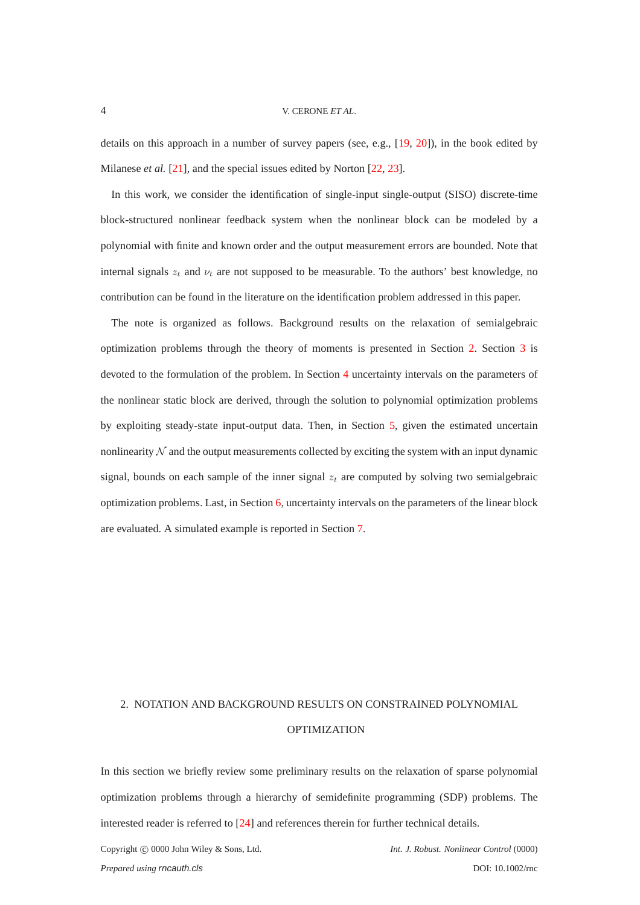#### 4 V. CERONE *ET AL*.

details on this approach in a number of survey papers (see, e.g., [\[19,](#page-22-18) [20\]](#page-23-0)), in the book edited by Milanese *et al.* [\[21\]](#page-23-1), and the special issues edited by Norton [\[22,](#page-23-2) [23\]](#page-23-3).

In this work, we consider the identification of single-input single-output (SISO) discrete-time block-structured nonlinear feedback system when the nonlinear block can be modeled by a polynomial with finite and known order and the output measurement errors are bounded. Note that internal signals  $z_t$  and  $\nu_t$  are not supposed to be measurable. To the authors' best knowledge, no contribution can be found in the literature on the identification problem addressed in this paper.

The note is organized as follows. Background results on the relaxation of semialgebraic optimization problems through the theory of moments is presented in Section [2.](#page-3-0) Section [3](#page-7-0) is devoted to the formulation of the problem. In Section [4](#page-9-0) uncertainty intervals on the parameters of the nonlinear static block are derived, through the solution to polynomial optimization problems by exploiting steady-state input-output data. Then, in Section [5,](#page-15-0) given the estimated uncertain nonlinearity  $N$  and the output measurements collected by exciting the system with an input dynamic signal, bounds on each sample of the inner signal  $z_t$  are computed by solving two semialgebraic optimization problems. Last, in Section [6,](#page-17-0) uncertainty intervals on the parameters of the linear block are evaluated. A simulated example is reported in Section [7.](#page-18-0)

# <span id="page-3-0"></span>2. NOTATION AND BACKGROUND RESULTS ON CONSTRAINED POLYNOMIAL OPTIMIZATION

In this section we briefly review some preliminary results on the relaxation of sparse polynomial optimization problems through a hierarchy of semidefinite programming (SDP) problems. The interested reader is referred to [\[24\]](#page-23-4) and references therein for further technical details.

Copyright c 0000 John Wiley & Sons, Ltd. *Int. J. Robust. Nonlinear Control* (0000)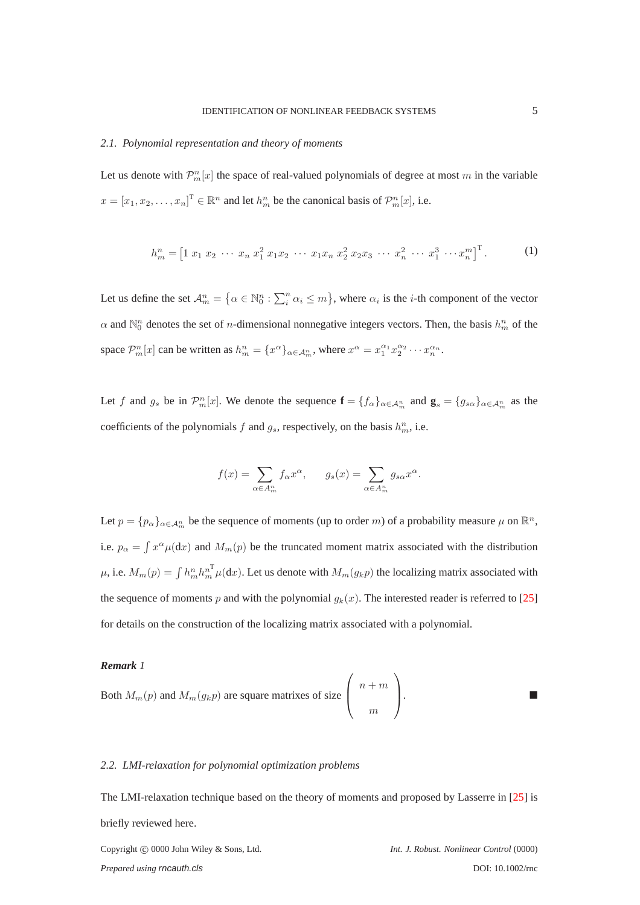#### *2.1. Polynomial representation and theory of moments*

Let us denote with  $\mathcal{P}_m^n[x]$  the space of real-valued polynomials of degree at most m in the variable  $x = [x_1, x_2, \dots, x_n]^T \in \mathbb{R}^n$  and let  $h^n_m$  be the canonical basis of  $\mathcal{P}^n_m[x]$ , i.e.

$$
h_m^n = \begin{bmatrix} 1 & x_1 & x_2 & \cdots & x_n & x_1^2 & x_1x_2 & \cdots & x_1x_n & x_2^2 & x_2x_3 & \cdots & x_n^2 & \cdots & x_1^3 & \cdots & x_n^m \end{bmatrix}^\mathrm{T}.
$$
 (1)

Let us define the set  $\mathcal{A}_m^n = \{ \alpha \in \mathbb{N}_0^n : \sum_i^n \alpha_i \leq m \}$ , where  $\alpha_i$  is the *i*-th component of the vector  $\alpha$  and  $\mathbb{N}_0^n$  denotes the set of *n*-dimensional nonnegative integers vectors. Then, the basis  $h_m^n$  of the space  $\mathcal{P}_m^n[x]$  can be written as  $h_m^n = \{x^\alpha\}_{\alpha \in A_m^n}$ , where  $x^\alpha = x_1^{\alpha_1} x_2^{\alpha_2} \cdots x_n^{\alpha_n}$ .

Let f and  $g_s$  be in  $\mathcal{P}_m^n[x]$ . We denote the sequence  $\mathbf{f} = \{f_\alpha\}_{\alpha \in \mathcal{A}_m^n}$  and  $\mathbf{g}_s = \{g_{s\alpha}\}_{\alpha \in \mathcal{A}_m^n}$  as the coefficients of the polynomials f and  $g_s$ , respectively, on the basis  $h_m^n$ , i.e.

$$
f(x) = \sum_{\alpha \in A_m^n} f_{\alpha} x^{\alpha}, \qquad g_s(x) = \sum_{\alpha \in A_m^n} g_{s\alpha} x^{\alpha}.
$$

Let  $p = \{p_{\alpha}\}_{{\alpha} \in A_m^n}$  be the sequence of moments (up to order m) of a probability measure  $\mu$  on  $\mathbb{R}^n$ , i.e.  $p_{\alpha} = \int x^{\alpha} \mu(dx)$  and  $M_m(p)$  be the truncated moment matrix associated with the distribution  $\mu$ , i.e.  $M_m(p) = \int h_m^n h_m^{n^T} \mu(dx)$ . Let us denote with  $M_m(g_k p)$  the localizing matrix associated with the sequence of moments p and with the polynomial  $g_k(x)$ . The interested reader is referred to [\[25\]](#page-23-5) for details on the construction of the localizing matrix associated with a polynomial.

#### *Remark 1*

Both 
$$
M_m(p)
$$
 and  $M_m(g_k p)$  are square matrices of size  $\begin{pmatrix} n+m \\ m \end{pmatrix}$ .

#### <span id="page-4-0"></span>*2.2. LMI-relaxation for polynomial optimization problems*

The LMI-relaxation technique based on the theory of moments and proposed by Lasserre in [\[25\]](#page-23-5) is briefly reviewed here.

Copyright c 0000 John Wiley & Sons, Ltd. *Int. J. Robust. Nonlinear Control* (0000) *Prepared using rncauth.cls* DOI: 10.1002/rnc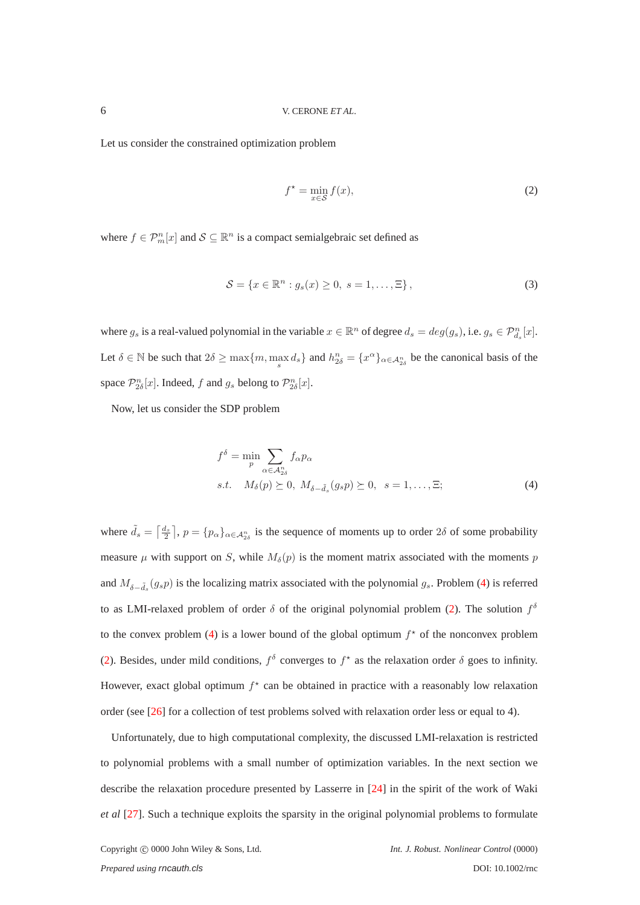Let us consider the constrained optimization problem

<span id="page-5-1"></span>
$$
f^* = \min_{x \in \mathcal{S}} f(x),\tag{2}
$$

where  $f \in \mathcal{P}_m^n[x]$  and  $\mathcal{S} \subseteq \mathbb{R}^n$  is a compact semialgebraic set defined as

<span id="page-5-2"></span>
$$
S = \{x \in \mathbb{R}^n : g_s(x) \ge 0, \ s = 1, \dots, \Xi\},\tag{3}
$$

where  $g_s$  is a real-valued polynomial in the variable  $x \in \mathbb{R}^n$  of degree  $d_s = deg(g_s)$ , i.e.  $g_s \in \mathcal{P}_{d_s}^n[x]$ . Let  $\delta \in \mathbb{N}$  be such that  $2\delta \ge \max\{m, \max_s d_s\}$  and  $h_{2\delta}^n = \{x^{\alpha}\}_{{\alpha} \in \mathcal{A}_{2\delta}^n}$  be the canonical basis of the space  $\mathcal{P}_{2\delta}^n[x]$ . Indeed, f and  $g_s$  belong to  $\mathcal{P}_{2\delta}^n[x]$ .

Now, let us consider the SDP problem

<span id="page-5-0"></span>
$$
f^{\delta} = \min_{p} \sum_{\alpha \in \mathcal{A}_{2\delta}^n} f_{\alpha} p_{\alpha}
$$
  
s.t.  $M_{\delta}(p) \succeq 0, M_{\delta - \tilde{d}_{s}}(g_s p) \succeq 0, s = 1, ..., \Xi;$  (4)

where  $\tilde{d}_s = \left[\frac{d_s}{2}\right], p = \{p_\alpha\}_{\alpha \in A_{2\delta}^n}$  is the sequence of moments up to order  $2\delta$  of some probability measure  $\mu$  with support on S, while  $M_{\delta}(p)$  is the moment matrix associated with the moments p and  $M_{\delta-\tilde{d}_s}(g_s p)$  is the localizing matrix associated with the polynomial  $g_s$ . Problem [\(4\)](#page-5-0) is referred to as LMI-relaxed problem of order  $\delta$  of the original polynomial problem [\(2\)](#page-5-1). The solution  $f^{\delta}$ to the convex problem [\(4\)](#page-5-0) is a lower bound of the global optimum  $f^*$  of the nonconvex problem [\(2\)](#page-5-1). Besides, under mild conditions,  $f^{\delta}$  converges to  $f^*$  as the relaxation order  $\delta$  goes to infinity. However, exact global optimum  $f^*$  can be obtained in practice with a reasonably low relaxation order (see [\[26\]](#page-23-6) for a collection of test problems solved with relaxation order less or equal to 4).

Unfortunately, due to high computational complexity, the discussed LMI-relaxation is restricted to polynomial problems with a small number of optimization variables. In the next section we describe the relaxation procedure presented by Lasserre in [\[24\]](#page-23-4) in the spirit of the work of Waki *et al* [\[27\]](#page-23-7). Such a technique exploits the sparsity in the original polynomial problems to formulate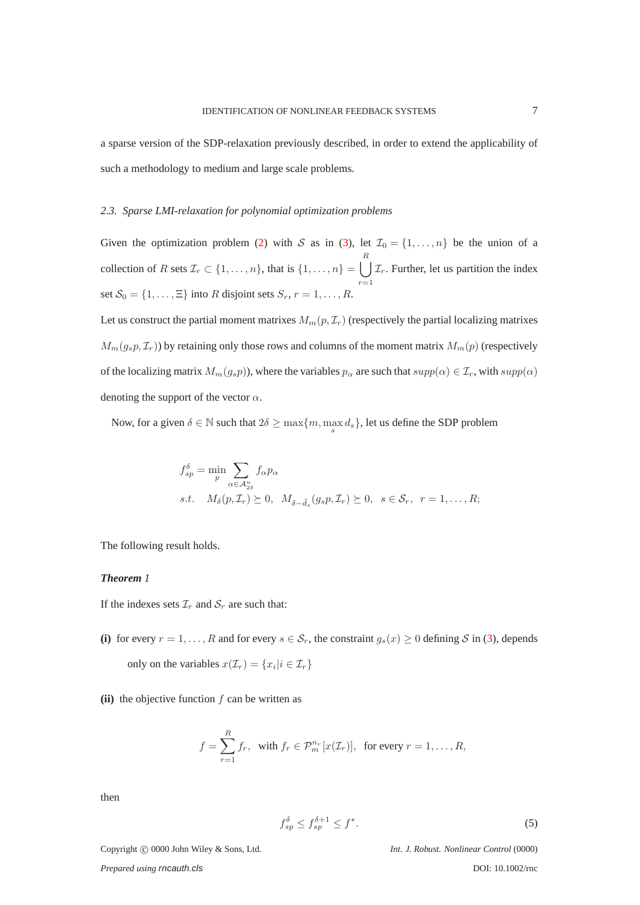<span id="page-6-0"></span>a sparse version of the SDP-relaxation previously described, in order to extend the applicability of such a methodology to medium and large scale problems.

#### *2.3. Sparse LMI-relaxation for polynomial optimization problems*

Given the optimization problem [\(2\)](#page-5-1) with S as in [\(3\)](#page-5-2), let  $\mathcal{I}_0 = \{1, \ldots, n\}$  be the union of a collection of R sets  $\mathcal{I}_r \subset \{1, \ldots, n\}$ , that is  $\{1, \ldots, n\} = \begin{bmatrix} \end{bmatrix}$ R  $r=1$  $\mathcal{I}_r$ . Further, let us partition the index set  $S_0 = \{1, \ldots, \Xi\}$  into R disjoint sets  $S_r$ ,  $r = 1, \ldots, R$ .

Let us construct the partial moment matrixes  $M_m(p, \mathcal{I}_r)$  (respectively the partial localizing matrixes  $M_m(g_s p, \mathcal{I}_r)$ ) by retaining only those rows and columns of the moment matrix  $M_m(p)$  (respectively of the localizing matrix  $M_m(g_s p)$ , where the variables  $p_\alpha$  are such that  $supp(\alpha) \in \mathcal{I}_r$ , with  $supp(\alpha)$ denoting the support of the vector  $\alpha$ .

Now, for a given  $\delta \in \mathbb{N}$  such that  $2\delta \ge \max\{m, \max_s d_s\}$ , let us define the SDP problem

$$
f_{sp}^{\delta} = \min_{p} \sum_{\alpha \in A_{2\delta}^n} f_{\alpha} p_{\alpha}
$$
  
s.t.  $M_{\delta}(p, \mathcal{I}_r) \succeq 0$ ,  $M_{\delta - \tilde{d}_s}(g_s p, \mathcal{I}_r) \succeq 0$ ,  $s \in \mathcal{S}_r$ ,  $r = 1, ..., R$ ;

The following result holds.

# <span id="page-6-1"></span>*Theorem 1*

If the indexes sets  $\mathcal{I}_r$  and  $\mathcal{S}_r$  are such that:

- (i) for every  $r = 1, \ldots, R$  and for every  $s \in S_r$ , the constraint  $g_s(x) \ge 0$  defining S in [\(3\)](#page-5-2), depends only on the variables  $x(\mathcal{I}_r) = \{x_i | i \in \mathcal{I}_r\}$
- $(iii)$  the objective function  $f$  can be written as

$$
f = \sum_{r=1}^{R} f_r, \text{ with } f_r \in \mathcal{P}_m^{n_r}[x(\mathcal{I}_r)], \text{ for every } r = 1, \dots, R,
$$

then

$$
f_{sp}^{\delta} \le f_{sp}^{\delta+1} \le f^*.
$$

Copyright c 0000 John Wiley & Sons, Ltd. *Int. J. Robust. Nonlinear Control* (0000)

*Prepared using rncauth.cls* DOI: 10.1002/rnc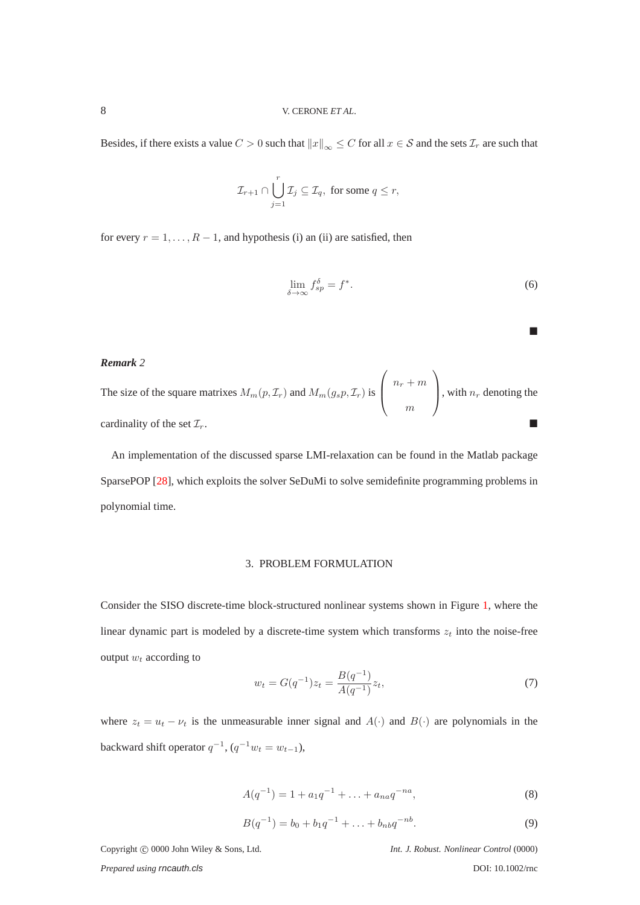Besides, if there exists a value  $C > 0$  such that  $||x||_{\infty} \leq C$  for all  $x \in S$  and the sets  $\mathcal{I}_r$  are such that

$$
\mathcal{I}_{r+1} \cap \bigcup_{j=1}^r \mathcal{I}_j \subseteq \mathcal{I}_q, \text{ for some } q \leq r,
$$

for every  $r = 1, \ldots, R - 1$ , and hypothesis (i) an (ii) are satisfied, then

$$
\lim_{\delta \to \infty} f_{sp}^{\delta} = f^*.
$$
\n(6)

*Remark 2*

The size of the square matrixes  $M_m(p, \mathcal{I}_r)$  and  $M_m(g_s p, \mathcal{I}_r)$  is  $\sqrt{ }$  $\overline{ }$  $n_r + m$ m  $\setminus$ , with  $n_r$  denoting the cardinality of the set  $\mathcal{I}_r$ .

<span id="page-7-0"></span>An implementation of the discussed sparse LMI-relaxation can be found in the Matlab package SparsePOP [\[28\]](#page-23-8), which exploits the solver SeDuMi to solve semidefinite programming problems in polynomial time.

#### 3. PROBLEM FORMULATION

Consider the SISO discrete-time block-structured nonlinear systems shown in Figure [1,](#page-2-0) where the linear dynamic part is modeled by a discrete-time system which transforms  $z_t$  into the noise-free output  $w_t$  according to

<span id="page-7-1"></span>
$$
w_t = G(q^{-1})z_t = \frac{B(q^{-1})}{A(q^{-1})}z_t,
$$
\n(7)

where  $z_t = u_t - v_t$  is the unmeasurable inner signal and  $A(\cdot)$  and  $B(\cdot)$  are polynomials in the backward shift operator  $q^{-1}$ ,  $(q^{-1}w_t = w_{t-1})$ ,

<span id="page-7-2"></span>
$$
A(q^{-1}) = 1 + a_1 q^{-1} + \dots + a_{na} q^{-na}, \tag{8}
$$

$$
B(q^{-1}) = b_0 + b_1 q^{-1} + \ldots + b_{nb} q^{-nb}.
$$
\n(9)

Copyright  $\odot$  0000 John Wiley & Sons, Ltd. *Int. J. Robust. Nonlinear Control* (0000)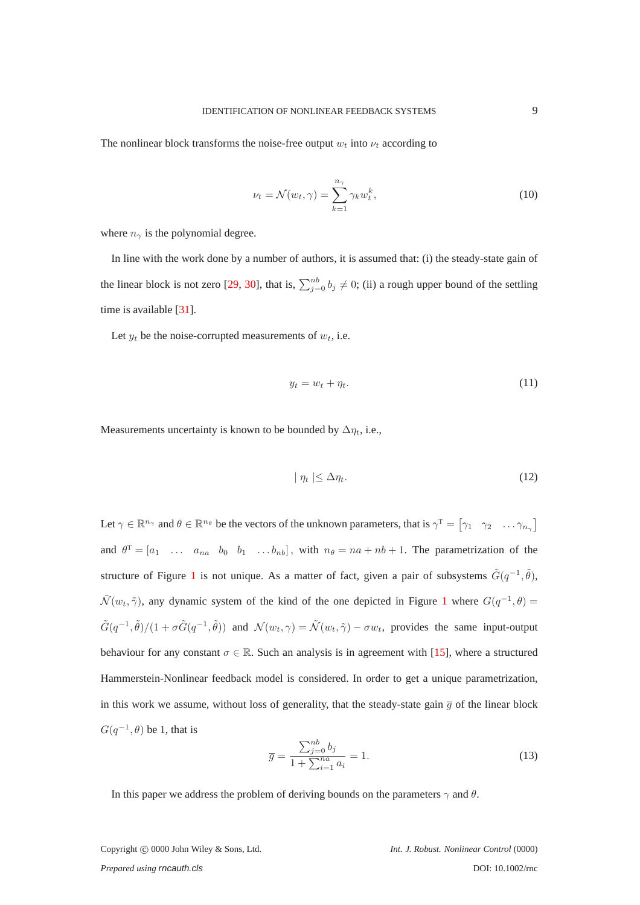The nonlinear block transforms the noise-free output  $w_t$  into  $v_t$  according to

<span id="page-8-0"></span>
$$
\nu_t = \mathcal{N}(w_t, \gamma) = \sum_{k=1}^{n_{\gamma}} \gamma_k w_t^k,
$$
\n(10)

where  $n_{\gamma}$  is the polynomial degree.

In line with the work done by a number of authors, it is assumed that: (i) the steady-state gain of the linear block is not zero [\[29,](#page-23-9) [30\]](#page-23-10), that is,  $\sum_{j=0}^{nb} b_j \neq 0$ ; (ii) a rough upper bound of the settling time is available [\[31\]](#page-23-11).

Let  $y_t$  be the noise-corrupted measurements of  $w_t$ , i.e.

<span id="page-8-1"></span>
$$
y_t = w_t + \eta_t. \tag{11}
$$

Measurements uncertainty is known to be bounded by  $\Delta \eta_t$ , i.e.,

<span id="page-8-2"></span>
$$
|\eta_t| \le \Delta \eta_t. \tag{12}
$$

Let  $\gamma \in \mathbb{R}^{n_{\gamma}}$  and  $\theta \in \mathbb{R}^{n_{\theta}}$  be the vectors of the unknown parameters, that is  $\gamma^{\text{T}} = \begin{bmatrix} \gamma_1 & \gamma_2 & \dots & \gamma_{n_{\gamma}} \end{bmatrix}$ and  $\theta^T = [a_1 \dots a_{na} \quad b_0 \quad b_1 \dots b_{nb}]$ , with  $n_\theta = na + nb + 1$ . The parametrization of the structure of Figure [1](#page-2-0) is not unique. As a matter of fact, given a pair of subsystems  $\tilde{G}(q^{-1}, \tilde{\theta})$ ,  $\tilde{\mathcal{N}}(w_t, \tilde{\gamma})$ , any dynamic system of the kind of the one depicted in Figure [1](#page-2-0) where  $G(q^{-1}, \theta) =$  $\tilde{G}(q^{-1},\tilde{\theta})/(1+\sigma\tilde{G}(q^{-1},\tilde{\theta}))$  and  $\mathcal{N}(w_t,\gamma)=\tilde{\mathcal{N}}(w_t,\tilde{\gamma})-\sigma w_t$ , provides the same input-output behaviour for any constant  $\sigma \in \mathbb{R}$ . Such an analysis is in agreement with [\[15\]](#page-22-14), where a structured Hammerstein-Nonlinear feedback model is considered. In order to get a unique parametrization, in this work we assume, without loss of generality, that the steady-state gain  $\overline{g}$  of the linear block  $G(q^{-1}, \theta)$  be 1, that is

<span id="page-8-3"></span>
$$
\overline{g} = \frac{\sum_{j=0}^{nb} b_j}{1 + \sum_{i=1}^{na} a_i} = 1.
$$
\n(13)

In this paper we address the problem of deriving bounds on the parameters  $\gamma$  and  $\theta$ .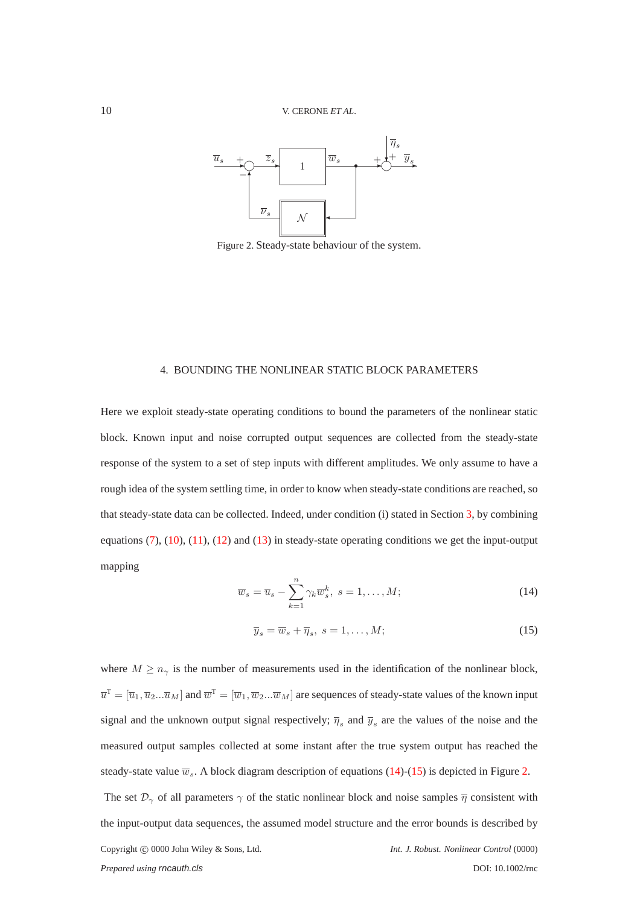<span id="page-9-3"></span>

Figure 2. Steady-state behaviour of the system.

### <span id="page-9-0"></span>4. BOUNDING THE NONLINEAR STATIC BLOCK PARAMETERS

Here we exploit steady-state operating conditions to bound the parameters of the nonlinear static block. Known input and noise corrupted output sequences are collected from the steady-state response of the system to a set of step inputs with different amplitudes. We only assume to have a rough idea of the system settling time, in order to know when steady-state conditions are reached, so that steady-state data can be collected. Indeed, under condition (i) stated in Section [3,](#page-7-0) by combining equations [\(7\)](#page-7-1), [\(10\)](#page-8-0), [\(11\)](#page-8-1), [\(12\)](#page-8-2) and [\(13\)](#page-8-3) in steady-state operating conditions we get the input-output mapping

<span id="page-9-1"></span>
$$
\overline{w}_s = \overline{u}_s - \sum_{k=1}^n \gamma_k \overline{w}_s^k, \ s = 1, \dots, M; \tag{14}
$$

<span id="page-9-2"></span>
$$
\overline{y}_s = \overline{w}_s + \overline{\eta}_s, \ s = 1, \dots, M; \tag{15}
$$

where  $M \geq n_{\gamma}$  is the number of measurements used in the identification of the nonlinear block,  $\overline{u}^T=[\overline{u}_1,\overline{u}_2...\overline{u}_M]$  and  $\overline{w}^T=[\overline{w}_1,\overline{w}_2...\overline{w}_M]$  are sequences of steady-state values of the known input signal and the unknown output signal respectively;  $\overline{\eta}_s$  and  $\overline{y}_s$  are the values of the noise and the measured output samples collected at some instant after the true system output has reached the steady-state value  $\overline{w}_s$ . A block diagram description of equations [\(14\)](#page-9-1)-[\(15\)](#page-9-2) is depicted in Figure [2.](#page-9-3) The set  $\mathcal{D}_{\gamma}$  of all parameters  $\gamma$  of the static nonlinear block and noise samples  $\overline{\eta}$  consistent with the input-output data sequences, the assumed model structure and the error bounds is described by Copyright c 0000 John Wiley & Sons, Ltd. *Int. J. Robust. Nonlinear Control* (0000) *Prepared using rncauth.cls* DOI: 10.1002/rnc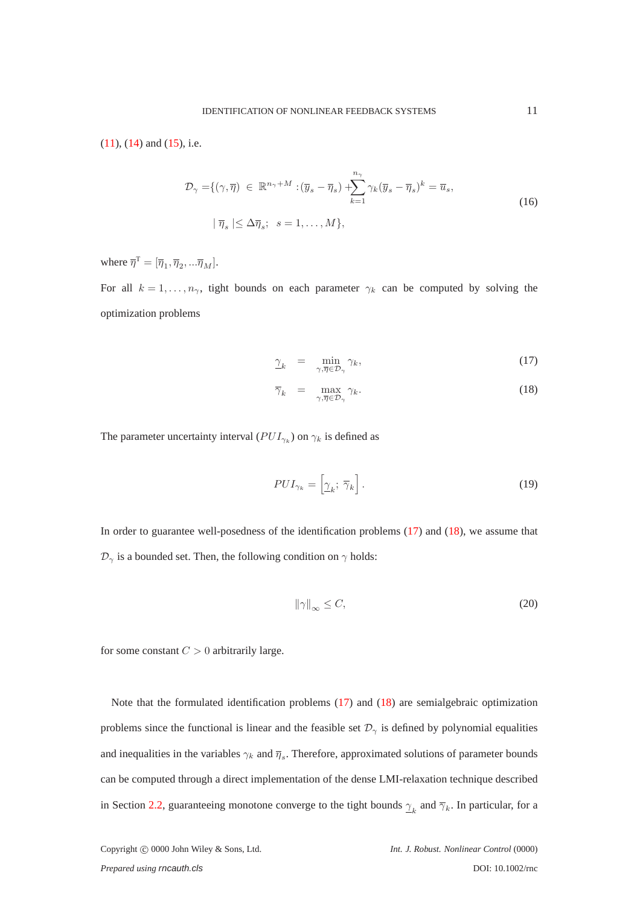<span id="page-10-1"></span> $(11)$ ,  $(14)$  and  $(15)$ , i.e.

$$
\mathcal{D}_{\gamma} = \{ (\gamma, \overline{\eta}) \in \mathbb{R}^{n_{\gamma} + M} : (\overline{y}_{s} - \overline{\eta}_{s}) + \sum_{k=1}^{n_{\gamma}} \gamma_{k} (\overline{y}_{s} - \overline{\eta}_{s})^{k} = \overline{u}_{s},
$$
  

$$
|\overline{\eta}_{s}| \leq \Delta \overline{\eta}_{s}; \quad s = 1, ..., M \},
$$
 (16)

where  $\overline{\eta}^{\mathsf{T}} = [\overline{\eta}_1, \overline{\eta}_2, ... \overline{\eta}_M].$ 

For all  $k = 1, \ldots, n_{\gamma}$ , tight bounds on each parameter  $\gamma_k$  can be computed by solving the optimization problems

<span id="page-10-0"></span>
$$
\gamma_k = \min_{\gamma, \overline{\eta} \in \mathcal{D}_\gamma} \gamma_k,\tag{17}
$$

$$
\overline{\gamma}_k = \max_{\gamma, \overline{\eta} \in \mathcal{D}_\gamma} \gamma_k. \tag{18}
$$

The parameter uncertainty interval ( $PUI_{\gamma_k}$ ) on  $\gamma_k$  is defined as

$$
PUI_{\gamma_k} = \left[\underline{\gamma}_k; \ \overline{\gamma}_k\right].\tag{19}
$$

In order to guarantee well-posedness of the identification problems  $(17)$  and  $(18)$ , we assume that  $\mathcal{D}_{\gamma}$  is a bounded set. Then, the following condition on  $\gamma$  holds:

<span id="page-10-2"></span>
$$
\|\gamma\|_{\infty} \le C,\tag{20}
$$

for some constant  $C > 0$  arbitrarily large.

Note that the formulated identification problems [\(17\)](#page-10-0) and [\(18\)](#page-10-0) are semialgebraic optimization problems since the functional is linear and the feasible set  $\mathcal{D}_{\gamma}$  is defined by polynomial equalities and inequalities in the variables  $\gamma_k$  and  $\overline{\eta}_s$ . Therefore, approximated solutions of parameter bounds can be computed through a direct implementation of the dense LMI-relaxation technique described in Section [2.2,](#page-4-0) guaranteeing monotone converge to the tight bounds  $\gamma_k$  and  $\overline{\gamma}_k$ . In particular, for a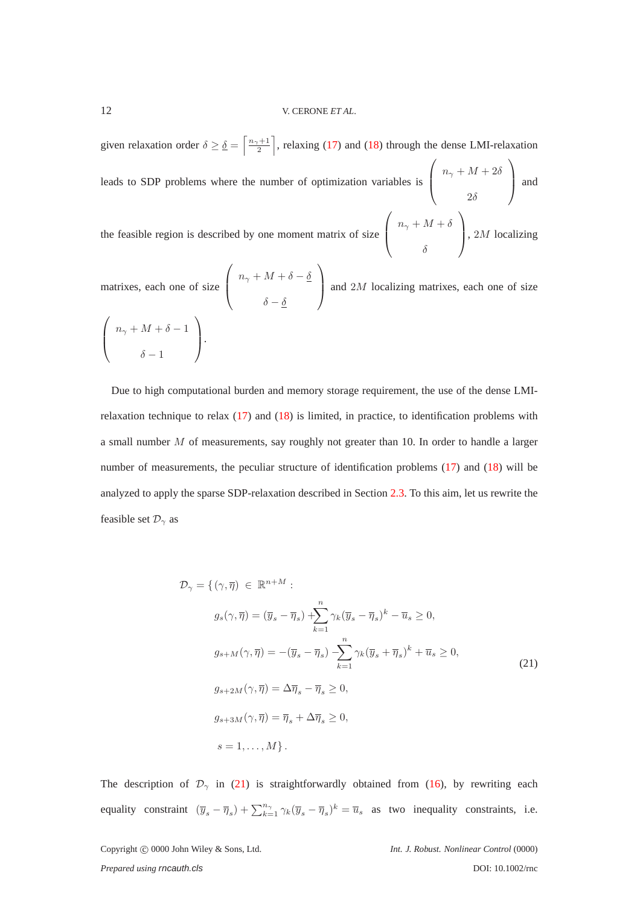given relaxation order  $\delta \ge \underline{\delta} = \left\lceil \frac{n_{\gamma}+1}{2} \right\rceil$ , relaxing [\(17\)](#page-10-0) and [\(18\)](#page-10-0) through the dense LMI-relaxation leads to SDP problems where the number of optimization variables is  $\sqrt{ }$  $\overline{ }$  $n_{\gamma} + M + 2\delta$  $2\delta$  $\setminus$  and the feasible region is described by one moment matrix of size  $\sqrt{ }$  $\overline{ }$  $n_{\gamma}+M+\delta$  $\setminus$  $\Big\}$ , 2*M* localizing

δ

matrixes, each one of size  $\sqrt{ }$  $\overline{ }$  $n_{\gamma}+M+\delta-\underline{\delta}$  $\delta-\underline{\delta}$  $\setminus$ and  $2M$  localizing matrixes, each one of size  $\sqrt{ }$  $\overline{ }$  $n_{\gamma} + M + \delta - 1$  $\delta - 1$  $\setminus$  $\cdot$ 

Due to high computational burden and memory storage requirement, the use of the dense LMIrelaxation technique to relax  $(17)$  and  $(18)$  is limited, in practice, to identification problems with a small number M of measurements, say roughly not greater than 10. In order to handle a larger number of measurements, the peculiar structure of identification problems [\(17\)](#page-10-0) and [\(18\)](#page-10-0) will be analyzed to apply the sparse SDP-relaxation described in Section [2.3.](#page-6-0) To this aim, let us rewrite the feasible set  $\mathcal{D}_{\gamma}$  as

<span id="page-11-0"></span>
$$
\mathcal{D}_{\gamma} = \{ (\gamma, \overline{\eta}) \in \mathbb{R}^{n+M} : \ng_s(\gamma, \overline{\eta}) = (\overline{y}_s - \overline{\eta}_s) + \sum_{k=1}^n \gamma_k (\overline{y}_s - \overline{\eta}_s)^k - \overline{u}_s \ge 0, \ng_{s+M}(\gamma, \overline{\eta}) = -(\overline{y}_s - \overline{\eta}_s) - \sum_{k=1}^n \gamma_k (\overline{y}_s + \overline{\eta}_s)^k + \overline{u}_s \ge 0, \ng_{s+2M}(\gamma, \overline{\eta}) = \Delta \overline{\eta}_s - \overline{\eta}_s \ge 0, \ng_{s+3M}(\gamma, \overline{\eta}) = \overline{\eta}_s + \Delta \overline{\eta}_s \ge 0, s = 1, ..., M \}.
$$
\n(21)

The description of  $\mathcal{D}_{\gamma}$  in [\(21\)](#page-11-0) is straightforwardly obtained from [\(16\)](#page-10-1), by rewriting each equality constraint  $(\overline{y}_s - \overline{\eta}_s) + \sum_{k=1}^{n_{\gamma}} \gamma_k (\overline{y}_s - \overline{\eta}_s)^k = \overline{u}_s$  as two inequality constraints, i.e.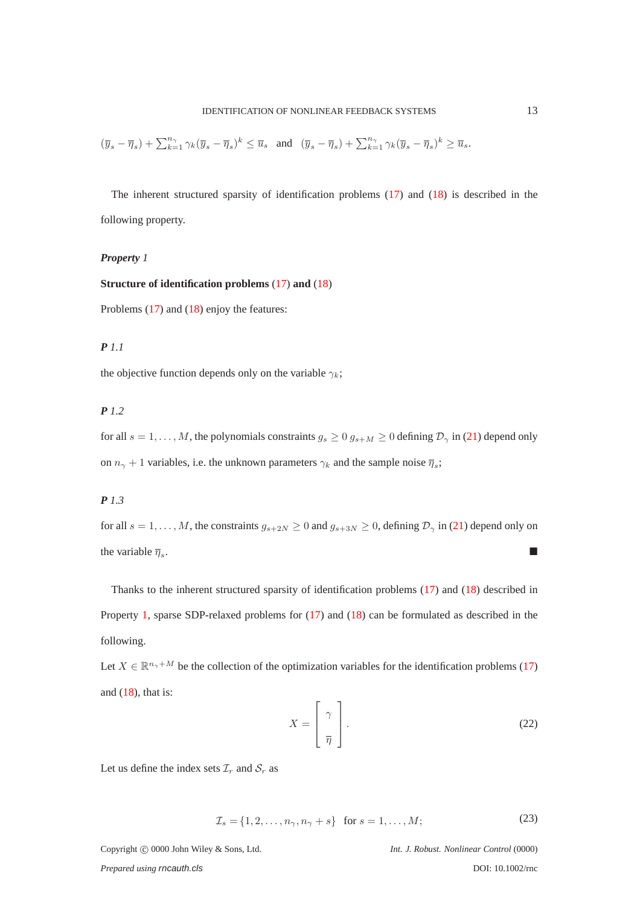$$
(\overline{y}_s-\overline{\eta}_s)+\textstyle\sum_{k=1}^{n_\gamma}\gamma_k(\overline{y}_s-\overline{\eta}_s)^k\leq \overline{u}_s\quad\text{and}\quad (\overline{y}_s-\overline{\eta}_s)+\textstyle\sum_{k=1}^{n_\gamma}\gamma_k(\overline{y}_s-\overline{\eta}_s)^k\geq \overline{u}_s.
$$

The inherent structured sparsity of identification problems [\(17\)](#page-10-0) and [\(18\)](#page-10-0) is described in the following property.

### <span id="page-12-0"></span>*Property 1*

# **Structure of identification problems** [\(17\)](#page-10-0) **and** [\(18\)](#page-10-0)

Problems [\(17\)](#page-10-0) and [\(18\)](#page-10-0) enjoy the features:

# *P 1.1*

the objective function depends only on the variable  $\gamma_k$ ;

# *P 1.2*

for all  $s = 1, \ldots, M$ , the polynomials constraints  $g_s \geq 0$   $g_{s+M} \geq 0$  defining  $\mathcal{D}_{\gamma}$  in [\(21\)](#page-11-0) depend only on  $n_{\gamma} + 1$  variables, i.e. the unknown parameters  $\gamma_k$  and the sample noise  $\overline{\eta}_s$ ;

# *P 1.3*

for all  $s = 1, \ldots, M$ , the constraints  $g_{s+2N} \geq 0$  and  $g_{s+3N} \geq 0$ , defining  $\mathcal{D}_{\gamma}$  in [\(21\)](#page-11-0) depend only on the variable  $\overline{\eta}_s$ . .

Thanks to the inherent structured sparsity of identification problems [\(17\)](#page-10-0) and [\(18\)](#page-10-0) described in Property [1,](#page-12-0) sparse SDP-relaxed problems for [\(17\)](#page-10-0) and [\(18\)](#page-10-0) can be formulated as described in the following.

Let  $X \in \mathbb{R}^{n_{\gamma}+M}$  be the collection of the optimization variables for the identification problems [\(17\)](#page-10-0) and  $(18)$ , that is:

<span id="page-12-1"></span>
$$
X = \left[\begin{array}{c} \gamma \\ \overline{\eta} \end{array}\right].
$$
 (22)

<span id="page-12-2"></span>Let us define the index sets  $\mathcal{I}_r$  and  $\mathcal{S}_r$  as

$$
\mathcal{I}_s = \{1, 2, \dots, n_\gamma, n_\gamma + s\} \quad \text{for } s = 1, \dots, M; \tag{23}
$$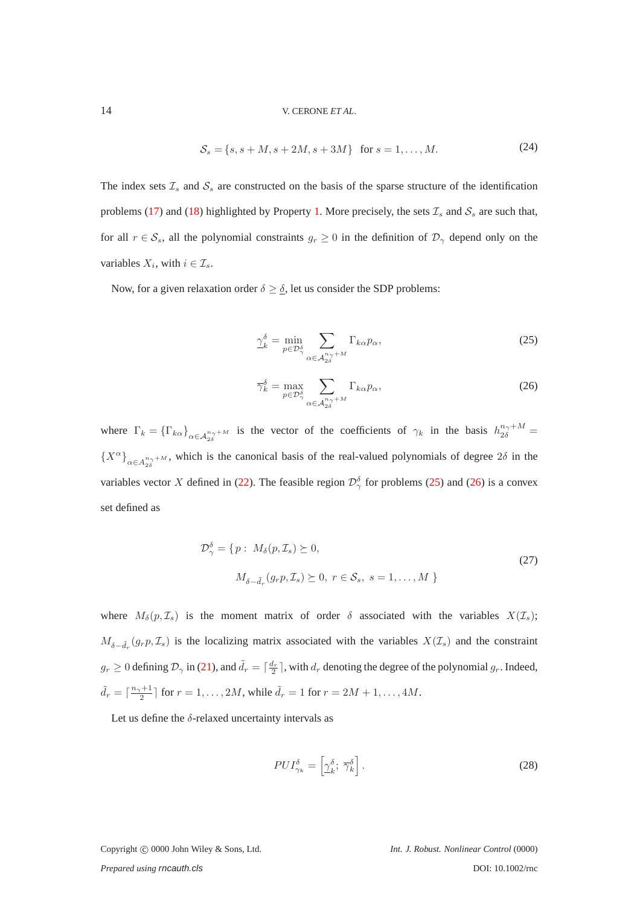#### <span id="page-13-2"></span>14 V. CERONE *ET AL*.

$$
S_s = \{s, s + M, s + 2M, s + 3M\} \text{ for } s = 1, ..., M. \tag{24}
$$

The index sets  $\mathcal{I}_s$  and  $\mathcal{S}_s$  are constructed on the basis of the sparse structure of the identification problems [\(17\)](#page-10-0) and [\(18\)](#page-10-0) highlighted by Property [1.](#page-12-0) More precisely, the sets  $\mathcal{I}_s$  and  $\mathcal{S}_s$  are such that, for all  $r \in S_s$ , all the polynomial constraints  $g_r \geq 0$  in the definition of  $\mathcal{D}_{\gamma}$  depend only on the variables  $X_i$ , with  $i \in \mathcal{I}_s$ .

Now, for a given relaxation order  $\delta \geq \underline{\delta}$ , let us consider the SDP problems:

<span id="page-13-0"></span>
$$
\underline{\gamma}_{k}^{\delta} = \min_{p \in \mathcal{D}_{\gamma}^{\delta}} \sum_{\alpha \in \mathcal{A}_{2\delta}^{n_{\gamma} + M}} \Gamma_{k\alpha} p_{\alpha},\tag{25}
$$

<span id="page-13-1"></span>
$$
\overline{\gamma}_k^{\delta} = \max_{p \in \mathcal{D}_{\gamma}^{\delta}} \sum_{\alpha \in \mathcal{A}_{2\delta}^{n_{\gamma} + M}} \Gamma_{k\alpha} p_{\alpha},\tag{26}
$$

where  $\Gamma_k = {\{\Gamma_{k\alpha}\}}_{\alpha \in A_{2\delta}^{n_{\gamma}+M}}$  is the vector of the coefficients of  $\gamma_k$  in the basis  $h_{2\delta}^{n_{\gamma}+M}$  ${X^{\alpha}}_{\alpha \in A_{2\delta}^{n_{\gamma}+M}}$ , which is the canonical basis of the real-valued polynomials of degree  $2\delta$  in the variables vector X defined in [\(22\)](#page-12-1). The feasible region  $\mathcal{D}_{\gamma}^{\delta}$  for problems [\(25\)](#page-13-0) and [\(26\)](#page-13-1) is a convex set defined as

$$
\mathcal{D}_{\gamma}^{\delta} = \{ p : M_{\delta}(p, \mathcal{I}_s) \succeq 0, \n M_{\delta - \tilde{d}_r}(g_r p, \mathcal{I}_s) \succeq 0, r \in \mathcal{S}_s, s = 1, \dots, M \}
$$
\n
$$
(27)
$$

where  $M_{\delta}(p, \mathcal{I}_s)$  is the moment matrix of order  $\delta$  associated with the variables  $X(\mathcal{I}_s)$ ;  $M_{\delta-\tilde{d}_r}(g_r p, \mathcal{I}_s)$  is the localizing matrix associated with the variables  $X(\mathcal{I}_s)$  and the constraint  $g_r \geq 0$  defining  $\mathcal{D}_{\gamma}$  in [\(21\)](#page-11-0), and  $\tilde{d}_r = \lceil \frac{d_r}{2} \rceil$ , with  $d_r$  denoting the degree of the polynomial  $g_r$ . Indeed,  $\tilde{d}_r = \lceil \frac{n_\gamma + 1}{2} \rceil$  for  $r = 1, ..., 2M$ , while  $\tilde{d}_r = 1$  for  $r = 2M + 1, ..., 4M$ .

Let us define the  $\delta$ -relaxed uncertainty intervals as

$$
PUI_{\gamma_k}^{\delta} = \left[ \underline{\gamma}_k^{\delta}; \ \overline{\gamma}_k^{\delta} \right]. \tag{28}
$$

Copyright c 0000 John Wiley & Sons, Ltd. *Int. J. Robust. Nonlinear Control* (0000)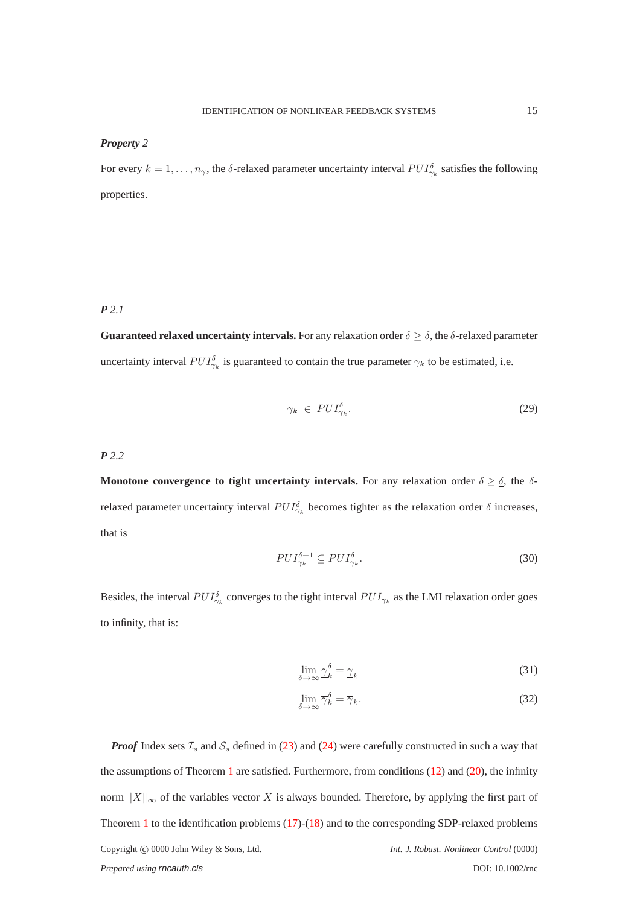#### <span id="page-14-2"></span>*Property 2*

For every  $k = 1, \ldots, n_{\gamma}$ , the  $\delta$ -relaxed parameter uncertainty interval  $PUI_{\gamma_k}^{\delta}$  satisfies the following properties.

# <span id="page-14-0"></span>*P 2.1*

**Guaranteed relaxed uncertainty intervals.** For any relaxation order  $\delta \geq \delta$ , the  $\delta$ -relaxed parameter uncertainty interval  $PUI_{\gamma_k}^{\delta}$  is guaranteed to contain the true parameter  $\gamma_k$  to be estimated, i.e.

$$
\gamma_k \in PUI_{\gamma_k}^{\delta}.\tag{29}
$$

<span id="page-14-1"></span>*P 2.2*

**Monotone convergence to tight uncertainty intervals.** For any relaxation order  $\delta \geq \underline{\delta}$ , the  $\delta$ relaxed parameter uncertainty interval  $PUI_{\gamma_k}^{\delta}$  becomes tighter as the relaxation order  $\delta$  increases, that is

$$
PUI_{\gamma_k}^{\delta+1} \subseteq PUI_{\gamma_k}^{\delta}.\tag{30}
$$

Besides, the interval  $PUI_{\gamma_k}^{\delta}$  converges to the tight interval  $PUI_{\gamma_k}$  as the LMI relaxation order goes to infinity, that is:

$$
\lim_{\delta \to \infty} \underline{\gamma}_k^{\delta} = \underline{\gamma}_k \tag{31}
$$

$$
\lim_{\delta \to \infty} \overline{\gamma}_k^{\delta} = \overline{\gamma}_k. \tag{32}
$$

*Proof* Index sets  $\mathcal{I}_s$  and  $\mathcal{S}_s$  defined in [\(23\)](#page-12-2) and [\(24\)](#page-13-2) were carefully constructed in such a way that the assumptions of Theorem [1](#page-6-1) are satisfied. Furthermore, from conditions  $(12)$  and  $(20)$ , the infinity norm  $||X||_{\infty}$  of the variables vector X is always bounded. Therefore, by applying the first part of Theorem [1](#page-6-1) to the identification problems [\(17\)](#page-10-0)-[\(18\)](#page-10-0) and to the corresponding SDP-relaxed problems Copyright c 0000 John Wiley & Sons, Ltd. *Int. J. Robust. Nonlinear Control* (0000) *Prepared using rncauth.cls* DOI: 10.1002/rnc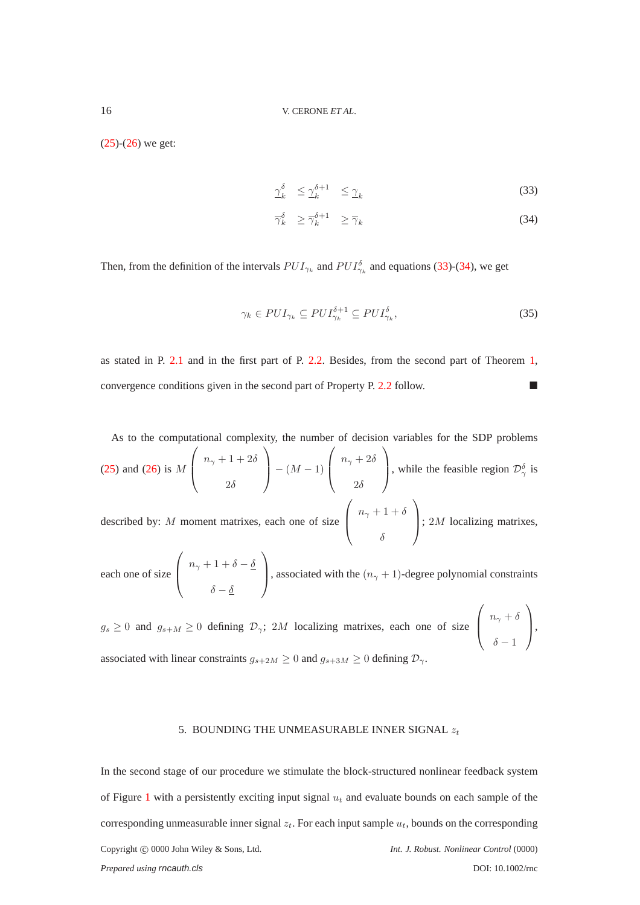$(25)-(26)$  $(25)-(26)$  $(25)-(26)$  we get:

<span id="page-15-1"></span>
$$
\gamma_k^{\delta} \le \gamma_k^{\delta+1} \le \gamma_k \tag{33}
$$

$$
\overline{\gamma}_k^{\delta} \ge \overline{\gamma}_k^{\delta+1} \ge \overline{\gamma}_k \tag{34}
$$

Then, from the definition of the intervals  $PUI_{\gamma_k}$  and  $PUI_{\gamma_k}^{\delta}$  and equations [\(33\)](#page-15-1)-[\(34\)](#page-15-1), we get

$$
\gamma_k \in PUI_{\gamma_k} \subseteq PUI_{\gamma_k}^{\delta+1} \subseteq PUI_{\gamma_k}^{\delta},\tag{35}
$$

as stated in P. [2.1](#page-14-0) and in the first part of P. [2.2.](#page-14-1) Besides, from the second part of Theorem [1,](#page-6-1) convergence conditions given in the second part of Property P. [2.2](#page-14-1) follow.

As to the computational complexity, the number of decision variables for the SDP problems  $(25)$  and  $(26)$  is M  $\sqrt{ }$  $\overline{\mathcal{L}}$  $n_{\gamma}+1+2\delta$  $2\delta$  $\setminus$  $- (M - 1)$  $\sqrt{ }$  $\overline{ }$  $n_\gamma + 2\delta$  $2\delta$  $\setminus$ , while the feasible region  $\mathcal{D}_{\gamma}^{\delta}$  is described by: M moment matrixes, each one of size  $\sqrt{ }$  $\overline{ }$  $n_{\gamma}+1+\delta$ δ  $\setminus$  $\Big\}$ ; 2*M* localizing matrixes,

each one of size  $\sqrt{ }$  $\overline{ }$  $n_{\gamma}+1+\delta-\underline{\delta}$  $\delta-\underline{\delta}$  $\setminus$ , associated with the  $(n_{\gamma} + 1)$ -degree polynomial constraints

 $g_s \geq 0$  and  $g_{s+M} \geq 0$  defining  $\mathcal{D}_{\gamma}$ ; 2M localizing matrixes, each one of size  $\sqrt{ }$  $\overline{ }$  $n_{\gamma} + \delta$  $\delta - 1$  $\setminus$  $\vert \cdot$ associated with linear constraints  $g_{s+2M} \geq 0$  and  $g_{s+3M} \geq 0$  defining  $\mathcal{D}_{\gamma}$ .

#### 5. BOUNDING THE UNMEASURABLE INNER SIGNAL  $z_t$

<span id="page-15-0"></span>In the second stage of our procedure we stimulate the block-structured nonlinear feedback system of Figure [1](#page-2-0) with a persistently exciting input signal  $u_t$  and evaluate bounds on each sample of the corresponding unmeasurable inner signal  $z_t$ . For each input sample  $u_t$ , bounds on the corresponding Copyright c 0000 John Wiley & Sons, Ltd. *Int. J. Robust. Nonlinear Control* (0000) *Prepared using rncauth.cls* DOI: 10.1002/rnc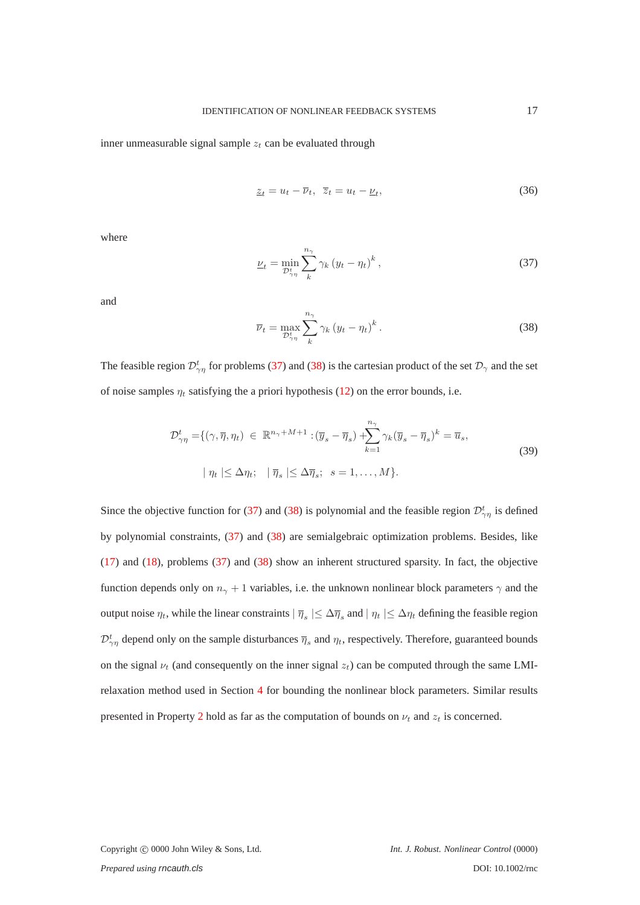inner unmeasurable signal sample  $z_t$  can be evaluated through

$$
\underline{z}_t = u_t - \overline{\nu}_t, \ \overline{z}_t = u_t - \underline{\nu}_t,\tag{36}
$$

where

<span id="page-16-0"></span>
$$
\underline{\nu}_{t} = \min_{\mathcal{D}_{\gamma\eta}^{t}} \sum_{k}^{n_{\gamma}} \gamma_{k} \left(y_{t} - \eta_{t}\right)^{k},\tag{37}
$$

and

<span id="page-16-1"></span>
$$
\overline{\nu}_t = \max_{\mathcal{D}_{\gamma\eta}^t} \sum_k^{n_\gamma} \gamma_k \left(y_t - \eta_t\right)^k. \tag{38}
$$

The feasible region  $\mathcal{D}_{\gamma\eta}^t$  for problems [\(37\)](#page-16-0) and [\(38\)](#page-16-1) is the cartesian product of the set  $\mathcal{D}_\gamma$  and the set of noise samples  $\eta_t$  satisfying the a priori hypothesis [\(12\)](#page-8-2) on the error bounds, i.e.

$$
\mathcal{D}_{\gamma\eta}^{t} = \{ (\gamma, \overline{\eta}, \eta_t) \in \mathbb{R}^{n_{\gamma} + M + 1} : (\overline{y}_s - \overline{\eta}_s) + \sum_{k=1}^{n_{\gamma}} \gamma_k (\overline{y}_s - \overline{\eta}_s)^k = \overline{u}_s, |\eta_t| \leq \Delta \eta_t; \quad |\overline{\eta}_s| \leq \Delta \overline{\eta}_s; \quad s = 1, ..., M \}.
$$
\n(39)

Since the objective function for [\(37\)](#page-16-0) and [\(38\)](#page-16-1) is polynomial and the feasible region  $\mathcal{D}_{\gamma\eta}^t$  is defined by polynomial constraints, [\(37\)](#page-16-0) and [\(38\)](#page-16-1) are semialgebraic optimization problems. Besides, like [\(17\)](#page-10-0) and [\(18\)](#page-10-0), problems [\(37\)](#page-16-0) and [\(38\)](#page-16-1) show an inherent structured sparsity. In fact, the objective function depends only on  $n_{\gamma} + 1$  variables, i.e. the unknown nonlinear block parameters  $\gamma$  and the output noise  $\eta_t$ , while the linear constraints  $|\bar{\eta}_s| \leq \Delta \bar{\eta}_s$  and  $|\eta_t| \leq \Delta \eta_t$  defining the feasible region  $\mathcal{D}_{\gamma\eta}^t$  depend only on the sample disturbances  $\overline{\eta}_s$  and  $\eta_t$ , respectively. Therefore, guaranteed bounds on the signal  $\nu_t$  (and consequently on the inner signal  $z_t$ ) can be computed through the same LMIrelaxation method used in Section [4](#page-9-0) for bounding the nonlinear block parameters. Similar results presented in Property [2](#page-14-2) hold as far as the computation of bounds on  $\nu_t$  and  $z_t$  is concerned.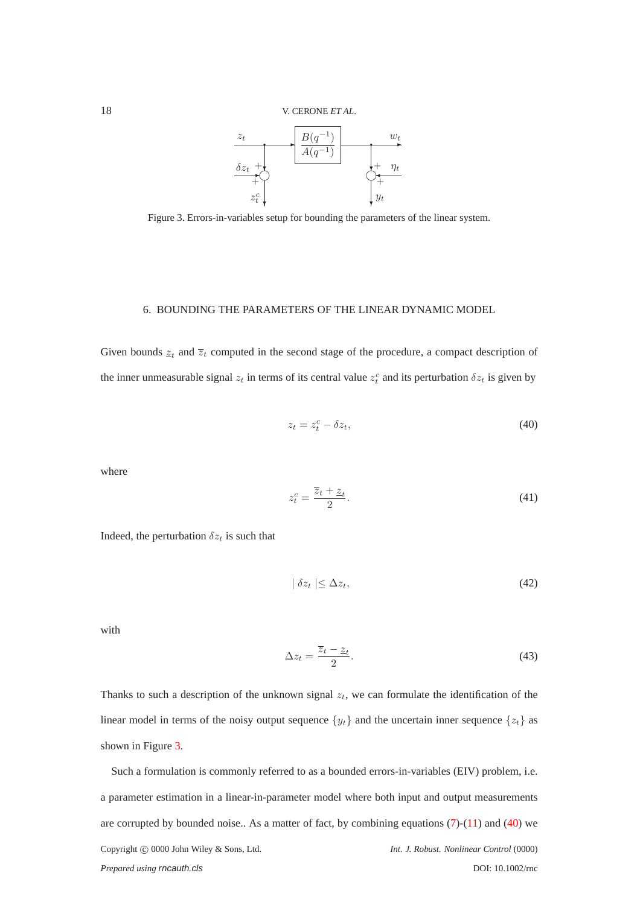

<span id="page-17-1"></span>Figure 3. Errors-in-variables setup for bounding the parameters of the linear system.

#### <span id="page-17-0"></span>6. BOUNDING THE PARAMETERS OF THE LINEAR DYNAMIC MODEL

Given bounds  $z_t$  and  $\overline{z}_t$  computed in the second stage of the procedure, a compact description of the inner unmeasurable signal  $z_t$  in terms of its central value  $z_t^c$  and its perturbation  $\delta z_t$  is given by

<span id="page-17-2"></span>
$$
z_t = z_t^c - \delta z_t,\tag{40}
$$

where

$$
z_t^c = \frac{\overline{z}_t + \underline{z}_t}{2}.\tag{41}
$$

Indeed, the perturbation  $\delta z_t$  is such that

<span id="page-17-3"></span>
$$
|\delta z_t| \le \Delta z_t,\tag{42}
$$

with

$$
\Delta z_t = \frac{\overline{z}_t - \underline{z}_t}{2}.\tag{43}
$$

Thanks to such a description of the unknown signal  $z_t$ , we can formulate the identification of the linear model in terms of the noisy output sequence  $\{y_t\}$  and the uncertain inner sequence  $\{z_t\}$  as shown in Figure [3.](#page-17-1)

Such a formulation is commonly referred to as a bounded errors-in-variables (EIV) problem, i.e. a parameter estimation in a linear-in-parameter model where both input and output measurements are corrupted by bounded noise.. As a matter of fact, by combining equations  $(7)-(11)$  $(7)-(11)$  and  $(40)$  we Copyright  $\odot$  0000 John Wiley & Sons, Ltd. *Int. J. Robust. Nonlinear Control* (0000) *Prepared using* rncauth.cls DOI: 10.1002/rnc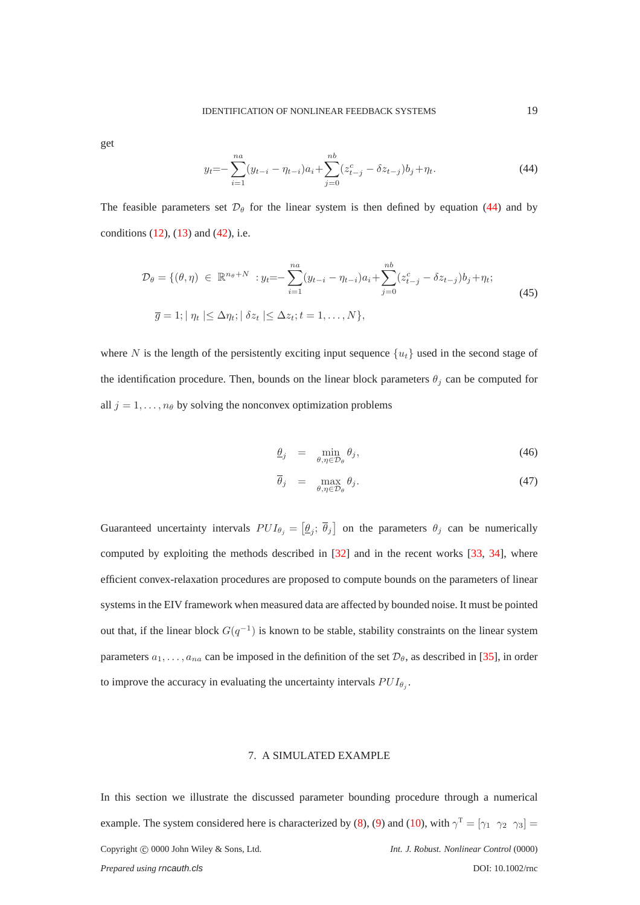get

<span id="page-18-1"></span>
$$
y_t = -\sum_{i=1}^{na} (y_{t-i} - \eta_{t-i})a_i + \sum_{j=0}^{nb} (z_{t-j}^c - \delta z_{t-j})b_j + \eta_t.
$$
 (44)

The feasible parameters set  $\mathcal{D}_{\theta}$  for the linear system is then defined by equation [\(44\)](#page-18-1) and by conditions  $(12)$ ,  $(13)$  and  $(42)$ , i.e.

$$
\mathcal{D}_{\theta} = \{(\theta, \eta) \in \mathbb{R}^{n_{\theta} + N} : y_{t} = -\sum_{i=1}^{n_{\theta}} (y_{t-i} - \eta_{t-i}) a_{i} + \sum_{j=0}^{n_{\theta}} (z_{t-j}^{c} - \delta z_{t-j}) b_{j} + \eta_{t};
$$
\n
$$
\overline{g} = 1; |\eta_{t}| \leq \Delta \eta_{t}; |\delta z_{t}| \leq \Delta z_{t}; t = 1, ..., N\},
$$
\n(45)

where N is the length of the persistently exciting input sequence  $\{u_t\}$  used in the second stage of the identification procedure. Then, bounds on the linear block parameters  $\theta_j$  can be computed for all  $j = 1, \ldots, n_\theta$  by solving the nonconvex optimization problems

<span id="page-18-2"></span>
$$
\underline{\theta}_j = \min_{\theta, \eta \in \mathcal{D}_{\theta}} \theta_j,\tag{46}
$$

$$
\overline{\theta}_j = \max_{\theta, \eta \in \mathcal{D}_{\theta}} \theta_j. \tag{47}
$$

Guaranteed uncertainty intervals  $PUI_{\theta_j} = [\underline{\theta_j}; \overline{\theta_j}]$  on the parameters  $\theta_j$  can be numerically computed by exploiting the methods described in [\[32\]](#page-23-12) and in the recent works [\[33,](#page-23-13) [34\]](#page-23-14), where efficient convex-relaxation procedures are proposed to compute bounds on the parameters of linear systems in the EIV framework when measured data are affected by bounded noise. It must be pointed out that, if the linear block  $G(q^{-1})$  is known to be stable, stability constraints on the linear system parameters  $a_1, \ldots, a_{na}$  can be imposed in the definition of the set  $\mathcal{D}_{\theta}$ , as described in [\[35\]](#page-23-15), in order to improve the accuracy in evaluating the uncertainty intervals  $PUI_{\theta_j}$ .

# 7. A SIMULATED EXAMPLE

<span id="page-18-0"></span>In this section we illustrate the discussed parameter bounding procedure through a numerical example. The system considered here is characterized by [\(8\)](#page-7-2), [\(9\)](#page-7-2) and [\(10\)](#page-8-0), with  $\gamma^T = [\gamma_1 \ \gamma_2 \ \gamma_3] =$ Copyright  $@$  0000 John Wiley & Sons, Ltd. *Int. J. Robust. Nonlinear Control* (0000) *Prepared using* rncauth.cls DOI: 10.1002/rnc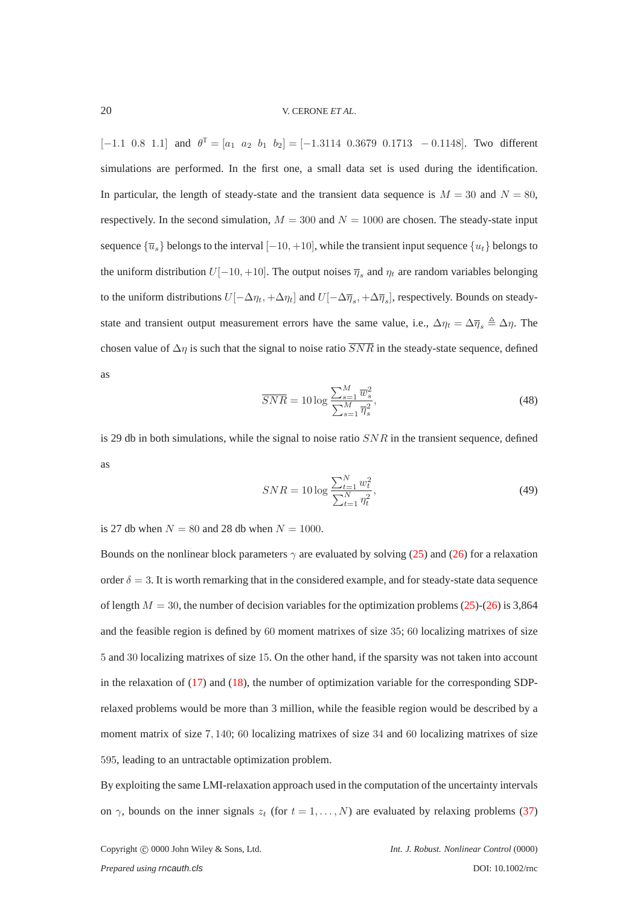[-1.1 0.8 1.1] and  $\theta^T = [a_1 \ a_2 \ b_1 \ b_2] = [-1.3114 \ 0.3679 \ 0.1713 \ -0.1148]$ . Two different simulations are performed. In the first one, a small data set is used during the identification. In particular, the length of steady-state and the transient data sequence is  $M = 30$  and  $N = 80$ , respectively. In the second simulation,  $M = 300$  and  $N = 1000$  are chosen. The steady-state input sequence  $\{\overline{u}_s\}$  belongs to the interval  $[-10, +10]$ , while the transient input sequence  $\{u_t\}$  belongs to the uniform distribution  $U[-10, +10]$ . The output noises  $\overline{\eta}_s$  and  $\eta_t$  are random variables belonging to the uniform distributions  $U[-\Delta \eta_t, +\Delta \eta_t]$  and  $U[-\Delta \overline{\eta}_s, +\Delta \overline{\eta}_s]$ , respectively. Bounds on steadystate and transient output measurement errors have the same value, i.e.,  $\Delta \eta_t = \Delta \overline{\eta}_s \triangleq \Delta \eta$ . The chosen value of  $\Delta \eta$  is such that the signal to noise ratio  $\overline{SNR}$  in the steady-state sequence, defined as

$$
\overline{SNR} = 10 \log \frac{\sum_{s=1}^{M} \overline{w}_s^2}{\sum_{s=1}^{M} \overline{\eta}_s^2},\tag{48}
$$

is 29 db in both simulations, while the signal to noise ratio  $SNR$  in the transient sequence, defined as

$$
SNR = 10 \log \frac{\sum_{t=1}^{N} w_t^2}{\sum_{t=1}^{N} \eta_t^2},\tag{49}
$$

is 27 db when  $N = 80$  and 28 db when  $N = 1000$ .

Bounds on the nonlinear block parameters  $\gamma$  are evaluated by solving [\(25\)](#page-13-0) and [\(26\)](#page-13-1) for a relaxation order  $\delta = 3$ . It is worth remarking that in the considered example, and for steady-state data sequence of length  $M = 30$ , the number of decision variables for the optimization problems [\(25\)](#page-13-0)-[\(26\)](#page-13-1) is 3,864 and the feasible region is defined by 60 moment matrixes of size 35; 60 localizing matrixes of size 5 and 30 localizing matrixes of size 15. On the other hand, if the sparsity was not taken into account in the relaxation of  $(17)$  and  $(18)$ , the number of optimization variable for the corresponding SDPrelaxed problems would be more than 3 million, while the feasible region would be described by a moment matrix of size 7, 140; 60 localizing matrixes of size 34 and 60 localizing matrixes of size 595, leading to an untractable optimization problem.

By exploiting the same LMI-relaxation approach used in the computation of the uncertainty intervals on  $\gamma$ , bounds on the inner signals  $z_t$  (for  $t = 1, \ldots, N$ ) are evaluated by relaxing problems [\(37\)](#page-16-0)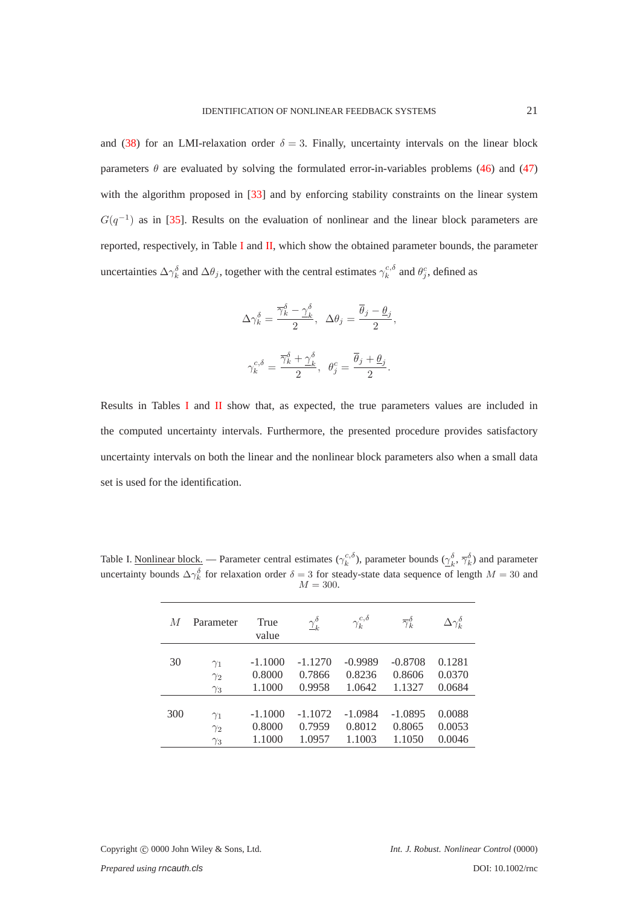and [\(38\)](#page-16-1) for an LMI-relaxation order  $\delta = 3$ . Finally, uncertainty intervals on the linear block parameters  $\theta$  are evaluated by solving the formulated error-in-variables problems [\(46\)](#page-18-2) and [\(47\)](#page-18-2) with the algorithm proposed in [\[33\]](#page-23-13) and by enforcing stability constraints on the linear system  $G(q^{-1})$  as in [\[35\]](#page-23-15). Results on the evaluation of nonlinear and the linear block parameters are reported, respectively, in Table [I](#page-20-0) and  $II$ , which show the obtained parameter bounds, the parameter uncertainties  $\Delta \gamma_k^{\delta}$  and  $\Delta \theta_j$ , together with the central estimates  $\gamma_k^{c,\delta}$  and  $\theta_j^c$ , defined as

$$
\begin{aligned} \Delta\gamma_k^\delta &= \frac{\overline{\gamma}_k^\delta - \underline{\gamma}_k^\delta}{2}, \;\; \Delta\theta_j = \frac{\overline{\theta}_j - \underline{\theta}_j}{2}, \\ \gamma_k^{c,\delta} &= \frac{\overline{\gamma}_k^\delta + \underline{\gamma}_k^\delta}{2}, \;\; \theta_j^c = \frac{\overline{\theta}_j + \underline{\theta}_j}{2}. \end{aligned}
$$

Results in Tables [I](#page-20-0) and [II](#page-21-1) show that, as expected, the true parameters values are included in the computed uncertainty intervals. Furthermore, the presented procedure provides satisfactory uncertainty intervals on both the linear and the nonlinear block parameters also when a small data set is used for the identification.

<span id="page-20-0"></span>Table I. Nonlinear block. — Parameter central estimates  $(\gamma_k^{c,\delta})$ , parameter bounds  $(\gamma_k^{\delta}, \overline{\gamma}_k^{\delta})$  and parameter uncertainty bounds  $\Delta \gamma_k^{\delta}$  for relaxation order  $\delta = 3$  for steady-state data sequence of length  $M = 30$  and  $M = 300.$ 

| M   | Parameter  | True<br>value | $\gamma_k^{\delta}$ | $\gamma_k^{c,\delta}$ | $\overline{\gamma}_k^{\delta}$ | $\Delta\gamma_k^\delta$ |
|-----|------------|---------------|---------------------|-----------------------|--------------------------------|-------------------------|
| 30  | $\gamma_1$ | $-1.1000$     | $-1.1270$           | $-0.9989$             | $-0.8708$                      | 0.1281                  |
|     | $\gamma_2$ | 0.8000        | 0.7866              | 0.8236                | 0.8606                         | 0.0370                  |
|     | $\gamma_3$ | 1.1000        | 0.9958              | 1.0642                | 1.1327                         | 0.0684                  |
| 300 | $\gamma_1$ | $-1.1000$     | $-1.1072$           | $-1.0984$             | $-1.0895$                      | 0.0088                  |
|     | $\gamma_2$ | 0.8000        | 0.7959              | 0.8012                | 0.8065                         | 0.0053                  |
|     | $\gamma_3$ | 1.1000        | 1.0957              | 1.1003                | 1.1050                         | 0.0046                  |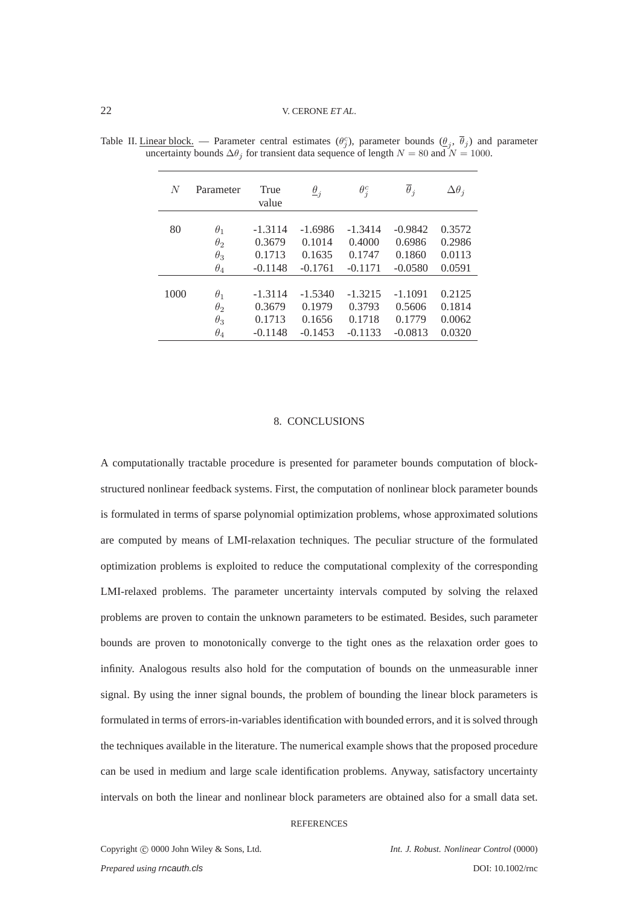| N    | Parameter  | True<br>value | $\underline{\theta}_j$ | $\theta_i^c$ | $\overline{\theta}_i$ | $\Delta\theta_i$ |
|------|------------|---------------|------------------------|--------------|-----------------------|------------------|
| 80   | $\theta_1$ | $-1.3114$     | $-1.6986$              | $-1.3414$    | $-0.9842$             | 0.3572           |
|      | $\theta_2$ | 0.3679        | 0.1014                 | 0.4000       | 0.6986                | 0.2986           |
|      | $\theta_3$ | 0.1713        | 0.1635                 | 0.1747       | 0.1860                | 0.0113           |
|      | $\theta_4$ | $-0.1148$     | $-0.1761$              | $-0.1171$    | $-0.0580$             | 0.0591           |
| 1000 | $\theta_1$ | $-1.3114$     | $-1.5340$              | $-1.3215$    | $-1.1091$             | 0.2125           |
|      | $\theta_2$ | 0.3679        | 0.1979                 | 0.3793       | 0.5606                | 0.1814           |
|      | $\theta_3$ | 0.1713        | 0.1656                 | 0.1718       | 0.1779                | 0.0062           |
|      | $\theta_4$ | $-0.1148$     | $-0.1453$              | $-0.1133$    | $-0.0813$             | 0.0320           |

<span id="page-21-1"></span>Table II. Linear block. — Parameter central estimates  $(\theta_j^c)$ , parameter bounds  $(\underline{\theta}_j, \overline{\theta}_j)$  and parameter uncertainty bounds  $\Delta\theta_j$  for transient data sequence of length  $N = 80$  and  $N = 1000$ .

#### 8. CONCLUSIONS

<span id="page-21-0"></span>A computationally tractable procedure is presented for parameter bounds computation of blockstructured nonlinear feedback systems. First, the computation of nonlinear block parameter bounds is formulated in terms of sparse polynomial optimization problems, whose approximated solutions are computed by means of LMI-relaxation techniques. The peculiar structure of the formulated optimization problems is exploited to reduce the computational complexity of the corresponding LMI-relaxed problems. The parameter uncertainty intervals computed by solving the relaxed problems are proven to contain the unknown parameters to be estimated. Besides, such parameter bounds are proven to monotonically converge to the tight ones as the relaxation order goes to infinity. Analogous results also hold for the computation of bounds on the unmeasurable inner signal. By using the inner signal bounds, the problem of bounding the linear block parameters is formulated in terms of errors-in-variables identification with bounded errors, and it is solved through the techniques available in the literature. The numerical example shows that the proposed procedure can be used in medium and large scale identification problems. Anyway, satisfactory uncertainty intervals on both the linear and nonlinear block parameters are obtained also for a small data set.

#### **REFERENCES**

Copyright c 0000 John Wiley & Sons, Ltd. *Int. J. Robust. Nonlinear Control* (0000) *Prepared using rncauth.cls* DOI: 10.1002/rnc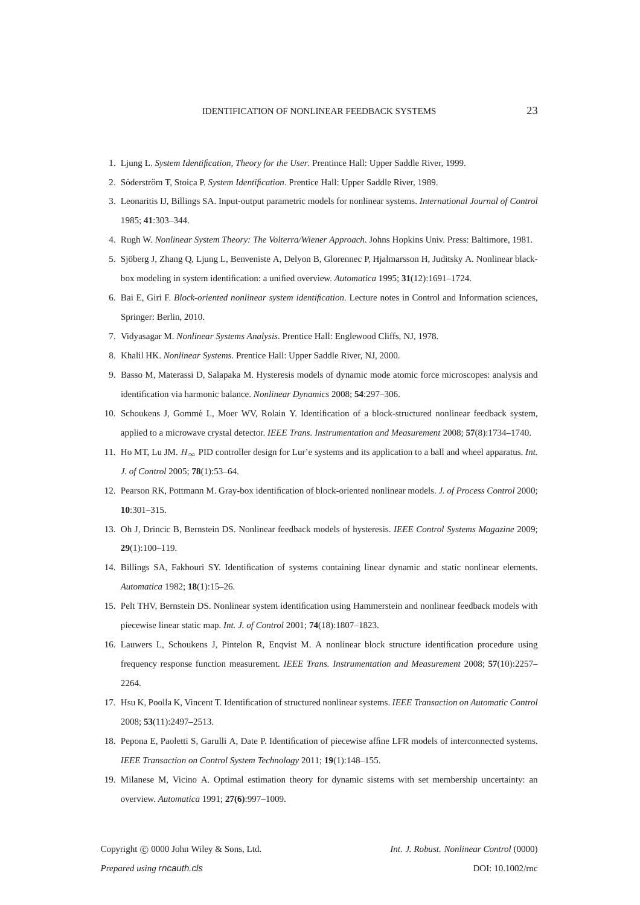- <span id="page-22-1"></span><span id="page-22-0"></span>1. Ljung L. *System Identification, Theory for the User*. Prentince Hall: Upper Saddle River, 1999.
- <span id="page-22-2"></span>2. Söderström T, Stoica P. System Identification. Prentice Hall: Upper Saddle River, 1989.
- <span id="page-22-3"></span>3. Leonaritis IJ, Billings SA. Input-output parametric models for nonlinear systems. *International Journal of Control* 1985; **41**:303–344.
- <span id="page-22-4"></span>4. Rugh W. *Nonlinear System Theory: The Volterra/Wiener Approach*. Johns Hopkins Univ. Press: Baltimore, 1981.
- <span id="page-22-5"></span>5. Sjöberg J, Zhang Q, Ljung L, Benveniste A, Delyon B, Glorennec P, Hjalmarsson H, Juditsky A. Nonlinear blackbox modeling in system identification: a unified overview. *Automatica* 1995; **31**(12):1691–1724.
- <span id="page-22-6"></span>6. Bai E, Giri F. *Block-oriented nonlinear system identification*. Lecture notes in Control and Information sciences, Springer: Berlin, 2010.
- <span id="page-22-7"></span>7. Vidyasagar M. *Nonlinear Systems Analysis*. Prentice Hall: Englewood Cliffs, NJ, 1978.
- <span id="page-22-8"></span>8. Khalil HK. *Nonlinear Systems*. Prentice Hall: Upper Saddle River, NJ, 2000.
- <span id="page-22-9"></span>9. Basso M, Materassi D, Salapaka M. Hysteresis models of dynamic mode atomic force microscopes: analysis and identification via harmonic balance. *Nonlinear Dynamics* 2008; **54**:297–306.
- <span id="page-22-10"></span>10. Schoukens J, Gommé L, Moer WV, Rolain Y. Identification of a block-structured nonlinear feedback system, applied to a microwave crystal detector. *IEEE Trans. Instrumentation and Measurement* 2008; **57**(8):1734–1740.
- <span id="page-22-11"></span>11. Ho MT, Lu JM. H<sup>∞</sup> PID controller design for Lur'e systems and its application to a ball and wheel apparatus. *Int. J. of Control* 2005; **78**(1):53–64.
- <span id="page-22-12"></span>12. Pearson RK, Pottmann M. Gray-box identification of block-oriented nonlinear models. *J. of Process Control* 2000; **10**:301–315.
- <span id="page-22-13"></span>13. Oh J, Drincic B, Bernstein DS. Nonlinear feedback models of hysteresis. *IEEE Control Systems Magazine* 2009; **29**(1):100–119.
- <span id="page-22-14"></span>14. Billings SA, Fakhouri SY. Identification of systems containing linear dynamic and static nonlinear elements. *Automatica* 1982; **18**(1):15–26.
- <span id="page-22-15"></span>15. Pelt THV, Bernstein DS. Nonlinear system identification using Hammerstein and nonlinear feedback models with piecewise linear static map. *Int. J. of Control* 2001; **74**(18):1807–1823.
- 16. Lauwers L, Schoukens J, Pintelon R, Enqvist M. A nonlinear block structure identification procedure using frequency response function measurement. *IEEE Trans. Instrumentation and Measurement* 2008; **57**(10):2257– 2264.
- <span id="page-22-17"></span><span id="page-22-16"></span>17. Hsu K, Poolla K, Vincent T. Identification of structured nonlinear systems. *IEEE Transaction on Automatic Control* 2008; **53**(11):2497–2513.
- <span id="page-22-18"></span>18. Pepona E, Paoletti S, Garulli A, Date P. Identification of piecewise affine LFR models of interconnected systems. *IEEE Transaction on Control System Technology* 2011; **19**(1):148–155.
- 19. Milanese M, Vicino A. Optimal estimation theory for dynamic sistems with set membership uncertainty: an overview. *Automatica* 1991; **27(6)**:997–1009.

Copyright c 0000 John Wiley & Sons, Ltd. *Int. J. Robust. Nonlinear Control* (0000)